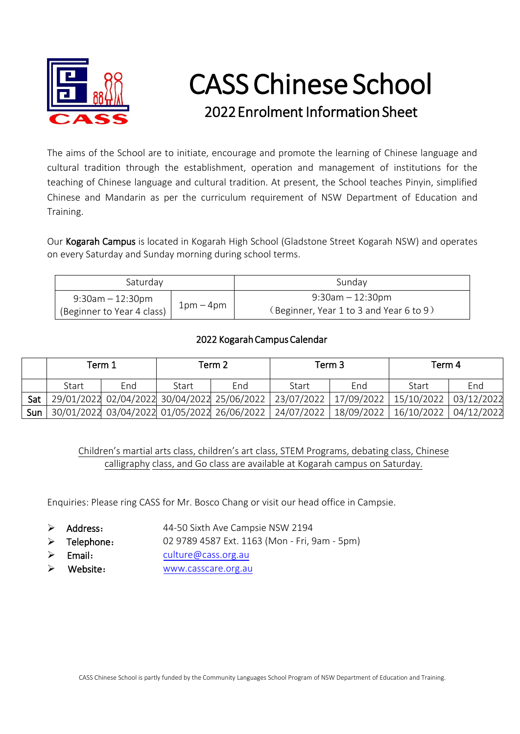

# CASS Chinese School 2022Enrolment Information Sheet

The aims of the School are to initiate, encourage and promote the learning of Chinese language and cultural tradition through the establishment, operation and management of institutions for the teaching of Chinese language and cultural tradition. At present, the School teaches Pinyin, simplified Chinese and Mandarin as per the curriculum requirement of NSW Department of Education and Training.

Our Kogarah Campus is located in Kogarah High School (Gladstone Street Kogarah NSW) and operates on every Saturday and Sunday morning during school terms.

| Saturday                   |           | Sunday                                  |  |  |  |
|----------------------------|-----------|-----------------------------------------|--|--|--|
| $9:30$ am $-12:30$ pm      | $1pm-4pm$ | 9:30am - 12:30pm                        |  |  |  |
| (Beginner to Year 4 class) |           | (Beginner, Year 1 to 3 and Year 6 to 9) |  |  |  |

## 2022 Kogarah Campus Calendar

|     | Term 1 |     | Term 2 |     | Term 3 |                                                                                             | Term 4 |     |
|-----|--------|-----|--------|-----|--------|---------------------------------------------------------------------------------------------|--------|-----|
|     | Start  | End | Start  | End | Start  | End                                                                                         | Start  | End |
| Sat |        |     |        |     |        | 29/01/2022 02/04/2022 30/04/2022 25/06/2022 23/07/2022 17/09/2022 15/10/2022 03/12/2022     |        |     |
|     |        |     |        |     |        | Sun 30/01/2022 03/04/2022 01/05/2022 26/06/2022 24/07/2022 18/09/2022 16/10/2022 04/12/2022 |        |     |

Children's martial arts class, children's art class, STEM Programs, debating class, Chinese calligraphy class, and Go class are available at Kogarah campus on Saturday.

Enquiries: Please ring CASS for Mr. Bosco Chang or visit our head office in Campsie.

- $\triangleright$  Address: 44-50 Sixth Ave Campsie NSW 2194
- $\triangleright$  Telephone: 02 9789 4587 Ext. 1163 (Mon - Fri, 9am - 5pm)
- $\triangleright$  Email: [culture@cass.org.au](mailto:culture@cass.org.au)
- Website: [www.casscare.org.au](http://www.casscare.org.au/)